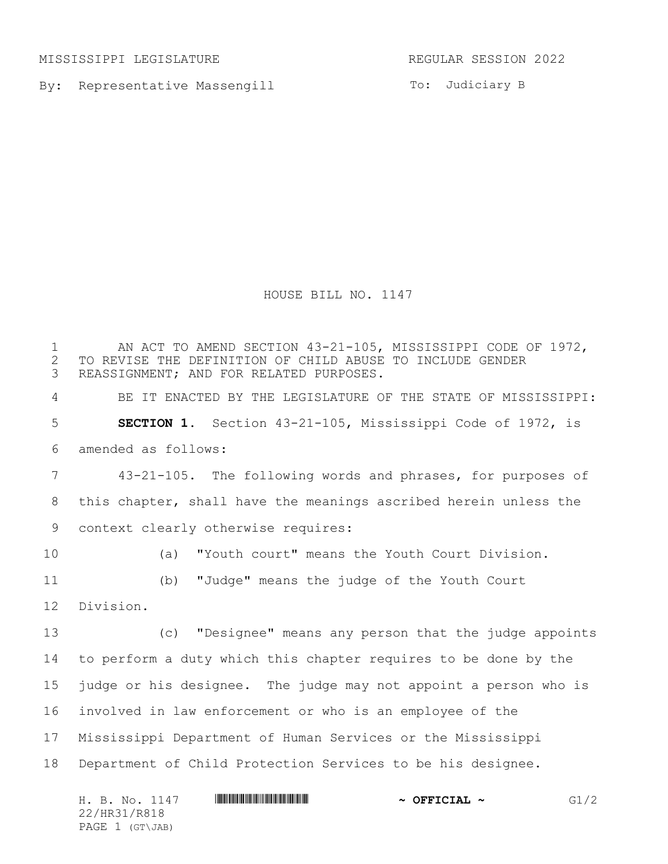MISSISSIPPI LEGISLATURE REGULAR SESSION 2022

By: Representative Massengill

To: Judiciary B

HOUSE BILL NO. 1147

1 AN ACT TO AMEND SECTION 43-21-105, MISSISSIPPI CODE OF 1972, 2 TO REVISE THE DEFINITION OF CHILD ABUSE TO INCLUDE GENDER<br>3 REASSIGNMENT; AND FOR RELATED PURPOSES. REASSIGNMENT; AND FOR RELATED PURPOSES. BE IT ENACTED BY THE LEGISLATURE OF THE STATE OF MISSISSIPPI: **SECTION 1.** Section 43-21-105, Mississippi Code of 1972, is amended as follows: 43-21-105. The following words and phrases, for purposes of this chapter, shall have the meanings ascribed herein unless the context clearly otherwise requires: (a) "Youth court" means the Youth Court Division. (b) "Judge" means the judge of the Youth Court Division. (c) "Designee" means any person that the judge appoints to perform a duty which this chapter requires to be done by the judge or his designee. The judge may not appoint a person who is involved in law enforcement or who is an employee of the Mississippi Department of Human Services or the Mississippi Department of Child Protection Services to be his designee.

| H. B. No. 1147  | $\sim$ OFFICIAL $\sim$ | G1/2 |
|-----------------|------------------------|------|
| 22/HR31/R818    |                        |      |
| PAGE 1 (GT\JAB) |                        |      |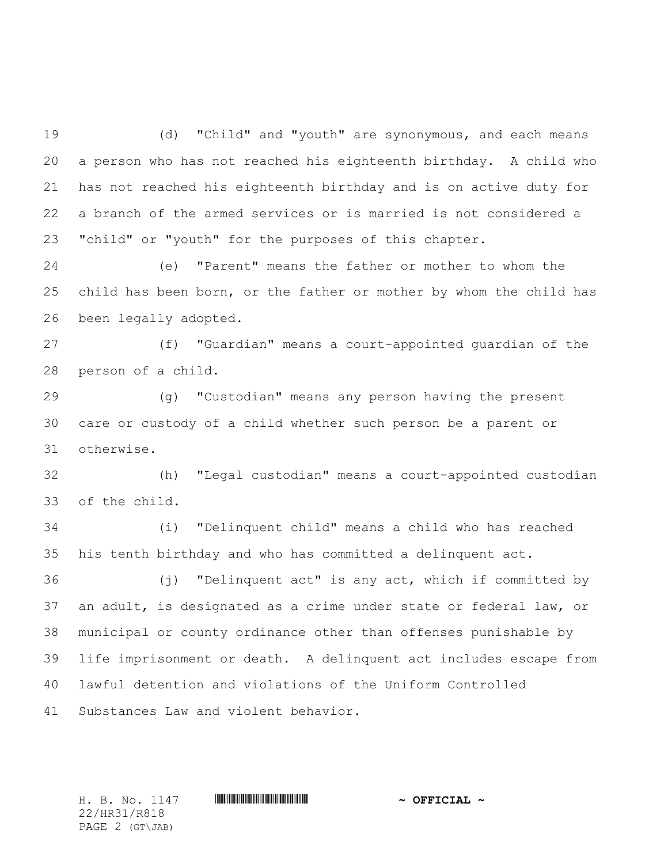(d) "Child" and "youth" are synonymous, and each means a person who has not reached his eighteenth birthday. A child who has not reached his eighteenth birthday and is on active duty for a branch of the armed services or is married is not considered a "child" or "youth" for the purposes of this chapter.

 (e) "Parent" means the father or mother to whom the child has been born, or the father or mother by whom the child has been legally adopted.

 (f) "Guardian" means a court-appointed guardian of the person of a child.

 (g) "Custodian" means any person having the present care or custody of a child whether such person be a parent or otherwise.

 (h) "Legal custodian" means a court-appointed custodian of the child.

 (i) "Delinquent child" means a child who has reached his tenth birthday and who has committed a delinquent act.

 (j) "Delinquent act" is any act, which if committed by an adult, is designated as a crime under state or federal law, or municipal or county ordinance other than offenses punishable by life imprisonment or death. A delinquent act includes escape from lawful detention and violations of the Uniform Controlled Substances Law and violent behavior.

22/HR31/R818 PAGE 2 (GT\JAB)

H. B. No. 1147 \*HR31/R818\* **~ OFFICIAL ~**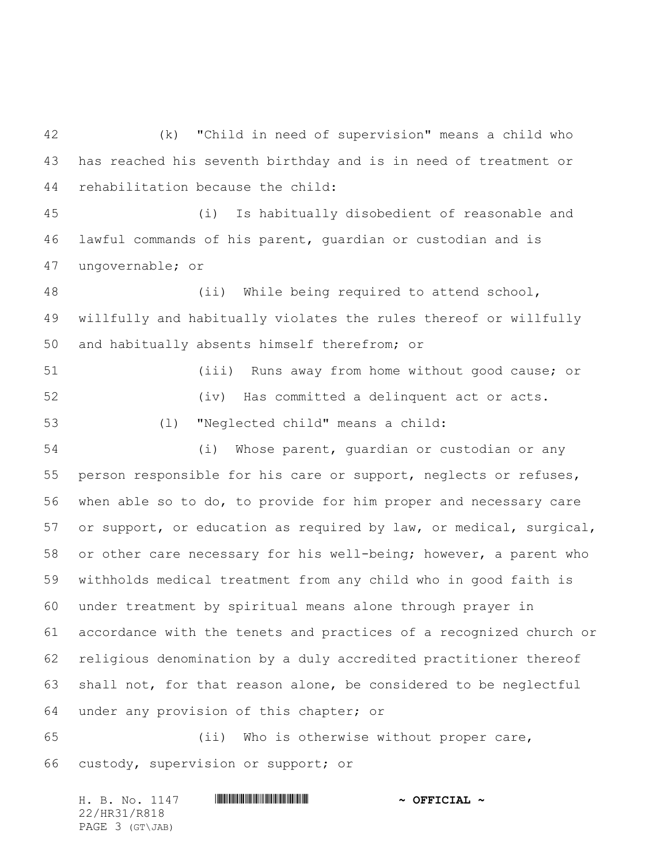(k) "Child in need of supervision" means a child who has reached his seventh birthday and is in need of treatment or rehabilitation because the child:

 (i) Is habitually disobedient of reasonable and lawful commands of his parent, guardian or custodian and is ungovernable; or

 (ii) While being required to attend school, willfully and habitually violates the rules thereof or willfully and habitually absents himself therefrom; or

 (iii) Runs away from home without good cause; or (iv) Has committed a delinquent act or acts. (l) "Neglected child" means a child:

 (i) Whose parent, guardian or custodian or any person responsible for his care or support, neglects or refuses, when able so to do, to provide for him proper and necessary care or support, or education as required by law, or medical, surgical, or other care necessary for his well-being; however, a parent who withholds medical treatment from any child who in good faith is under treatment by spiritual means alone through prayer in accordance with the tenets and practices of a recognized church or religious denomination by a duly accredited practitioner thereof shall not, for that reason alone, be considered to be neglectful under any provision of this chapter; or

 (ii) Who is otherwise without proper care, custody, supervision or support; or

H. B. No. 1147 \*HR31/R818\* **~ OFFICIAL ~** 22/HR31/R818 PAGE 3 (GT\JAB)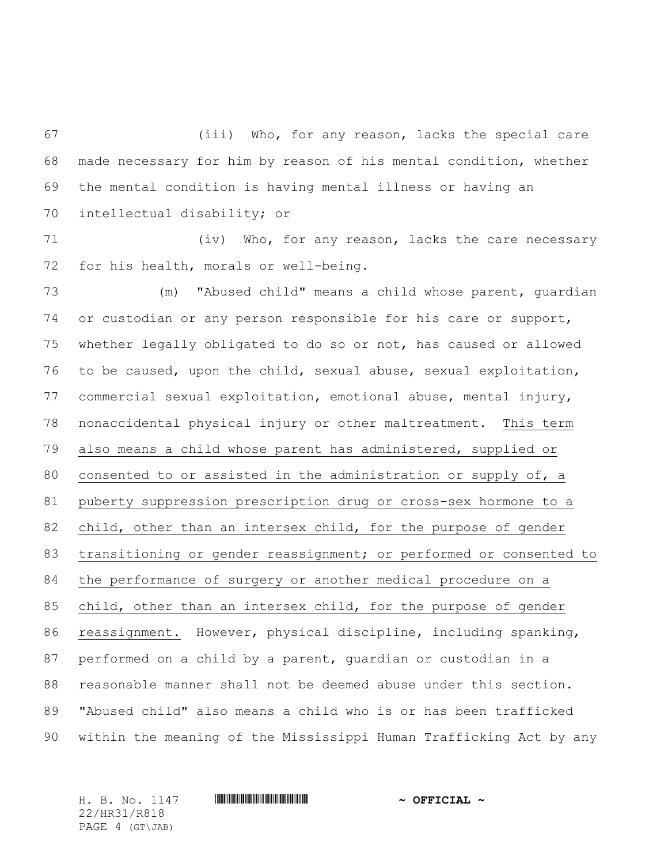(iii) Who, for any reason, lacks the special care made necessary for him by reason of his mental condition, whether the mental condition is having mental illness or having an intellectual disability; or

71 (iv) Who, for any reason, lacks the care necessary for his health, morals or well-being.

 (m) "Abused child" means a child whose parent, guardian or custodian or any person responsible for his care or support, whether legally obligated to do so or not, has caused or allowed to be caused, upon the child, sexual abuse, sexual exploitation, commercial sexual exploitation, emotional abuse, mental injury, nonaccidental physical injury or other maltreatment. This term also means a child whose parent has administered, supplied or consented to or assisted in the administration or supply of, a puberty suppression prescription drug or cross-sex hormone to a child, other than an intersex child, for the purpose of gender transitioning or gender reassignment; or performed or consented to the performance of surgery or another medical procedure on a child, other than an intersex child, for the purpose of gender reassignment. However, physical discipline, including spanking, performed on a child by a parent, guardian or custodian in a reasonable manner shall not be deemed abuse under this section. "Abused child" also means a child who is or has been trafficked within the meaning of the Mississippi Human Trafficking Act by any

22/HR31/R818 PAGE 4 (GT\JAB)

H. B. No. 1147 \*HR31/R818\* **~ OFFICIAL ~**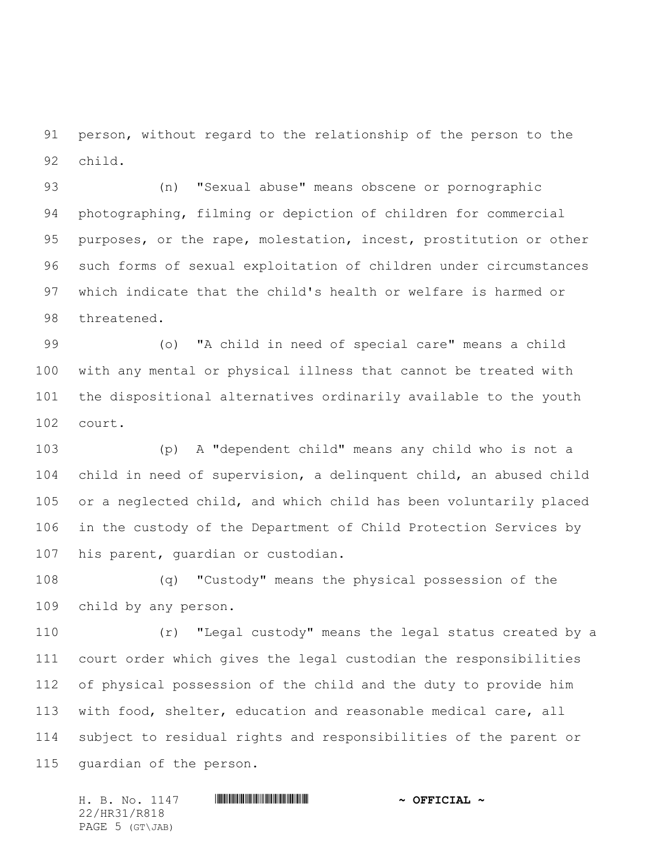person, without regard to the relationship of the person to the child.

 (n) "Sexual abuse" means obscene or pornographic photographing, filming or depiction of children for commercial purposes, or the rape, molestation, incest, prostitution or other such forms of sexual exploitation of children under circumstances which indicate that the child's health or welfare is harmed or threatened.

 (o) "A child in need of special care" means a child with any mental or physical illness that cannot be treated with the dispositional alternatives ordinarily available to the youth court.

 (p) A "dependent child" means any child who is not a child in need of supervision, a delinquent child, an abused child or a neglected child, and which child has been voluntarily placed in the custody of the Department of Child Protection Services by his parent, guardian or custodian.

 (q) "Custody" means the physical possession of the child by any person.

 (r) "Legal custody" means the legal status created by a court order which gives the legal custodian the responsibilities of physical possession of the child and the duty to provide him with food, shelter, education and reasonable medical care, all subject to residual rights and responsibilities of the parent or guardian of the person.

H. B. No. 1147 \*HR31/R818\* **~ OFFICIAL ~** 22/HR31/R818 PAGE 5 (GT\JAB)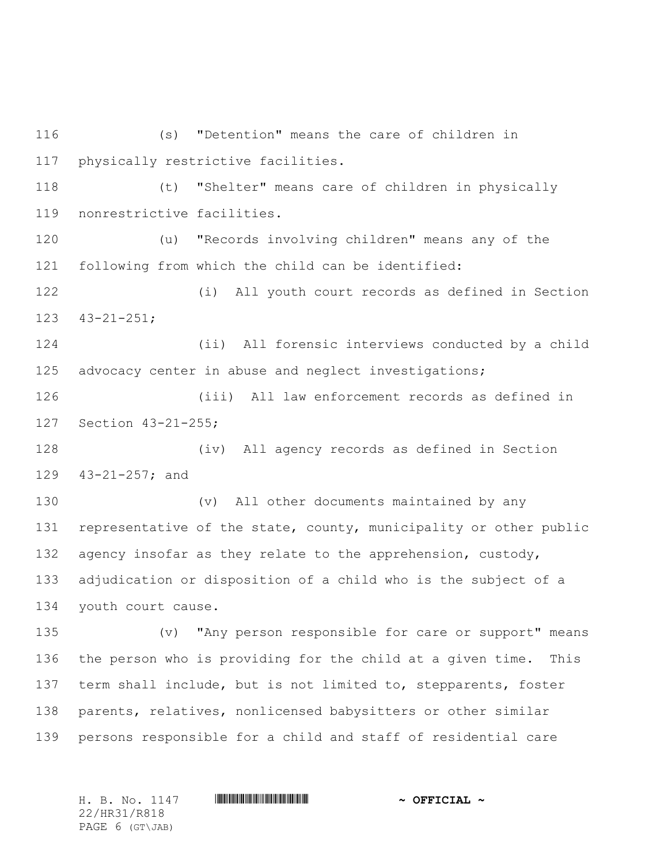(s) "Detention" means the care of children in physically restrictive facilities. (t) "Shelter" means care of children in physically nonrestrictive facilities. (u) "Records involving children" means any of the following from which the child can be identified: (i) All youth court records as defined in Section 43-21-251; (ii) All forensic interviews conducted by a child advocacy center in abuse and neglect investigations; (iii) All law enforcement records as defined in Section 43-21-255; (iv) All agency records as defined in Section 43-21-257; and (v) All other documents maintained by any 131 representative of the state, county, municipality or other public 132 agency insofar as they relate to the apprehension, custody, adjudication or disposition of a child who is the subject of a youth court cause. (v) "Any person responsible for care or support" means the person who is providing for the child at a given time. This term shall include, but is not limited to, stepparents, foster parents, relatives, nonlicensed babysitters or other similar persons responsible for a child and staff of residential care

22/HR31/R818 PAGE 6 (GT\JAB)

H. B. No. 1147 \*HR31/R818\* **~ OFFICIAL ~**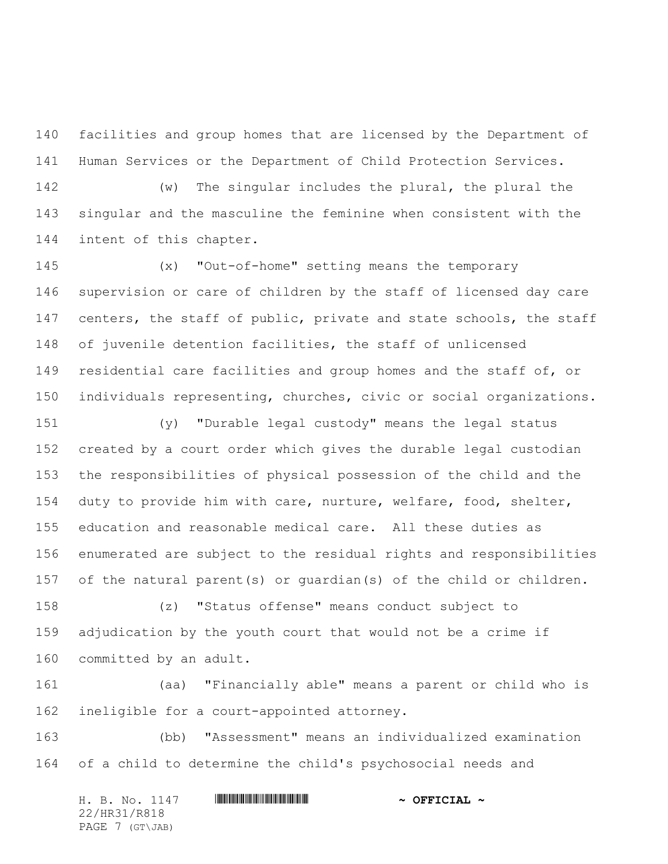facilities and group homes that are licensed by the Department of Human Services or the Department of Child Protection Services.

 (w) The singular includes the plural, the plural the singular and the masculine the feminine when consistent with the intent of this chapter.

 (x) "Out-of-home" setting means the temporary supervision or care of children by the staff of licensed day care 147 centers, the staff of public, private and state schools, the staff of juvenile detention facilities, the staff of unlicensed 149 residential care facilities and group homes and the staff of, or individuals representing, churches, civic or social organizations.

 (y) "Durable legal custody" means the legal status created by a court order which gives the durable legal custodian the responsibilities of physical possession of the child and the duty to provide him with care, nurture, welfare, food, shelter, education and reasonable medical care. All these duties as enumerated are subject to the residual rights and responsibilities of the natural parent(s) or guardian(s) of the child or children.

 (z) "Status offense" means conduct subject to adjudication by the youth court that would not be a crime if committed by an adult.

 (aa) "Financially able" means a parent or child who is ineligible for a court-appointed attorney.

 (bb) "Assessment" means an individualized examination of a child to determine the child's psychosocial needs and

H. B. No. 1147 **HRINGHANGHANGHANGHANG \* OFFICIAL ~** 22/HR31/R818 PAGE 7 (GT\JAB)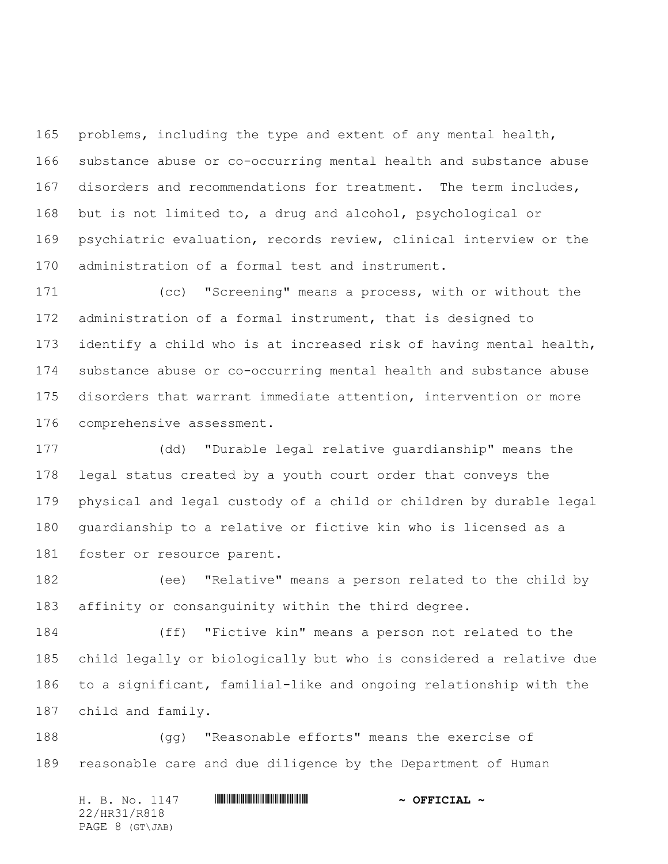problems, including the type and extent of any mental health, substance abuse or co-occurring mental health and substance abuse disorders and recommendations for treatment. The term includes, but is not limited to, a drug and alcohol, psychological or psychiatric evaluation, records review, clinical interview or the administration of a formal test and instrument.

 (cc) "Screening" means a process, with or without the administration of a formal instrument, that is designed to identify a child who is at increased risk of having mental health, substance abuse or co-occurring mental health and substance abuse disorders that warrant immediate attention, intervention or more comprehensive assessment.

 (dd) "Durable legal relative guardianship" means the legal status created by a youth court order that conveys the physical and legal custody of a child or children by durable legal guardianship to a relative or fictive kin who is licensed as a foster or resource parent.

 (ee) "Relative" means a person related to the child by affinity or consanguinity within the third degree.

 (ff) "Fictive kin" means a person not related to the child legally or biologically but who is considered a relative due to a significant, familial-like and ongoing relationship with the child and family.

 (gg) "Reasonable efforts" means the exercise of reasonable care and due diligence by the Department of Human

H. B. No. 1147 **HRINGHANGHANGHANGHANG \* OFFICIAL ~** 22/HR31/R818 PAGE 8 (GT\JAB)